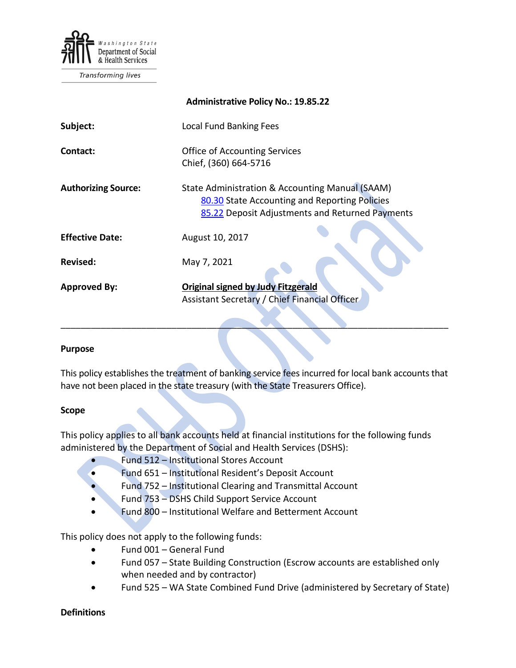

Transforming lives

|                            | <b>Administrative Policy No.: 19.85.22</b>                                                                                                          |
|----------------------------|-----------------------------------------------------------------------------------------------------------------------------------------------------|
| Subject:                   | <b>Local Fund Banking Fees</b>                                                                                                                      |
| Contact:                   | <b>Office of Accounting Services</b><br>Chief, (360) 664-5716                                                                                       |
| <b>Authorizing Source:</b> | State Administration & Accounting Manual (SAAM)<br>80.30 State Accounting and Reporting Policies<br>85.22 Deposit Adjustments and Returned Payments |
| <b>Effective Date:</b>     | August 10, 2017                                                                                                                                     |
| <b>Revised:</b>            | May 7, 2021                                                                                                                                         |
| <b>Approved By:</b>        | <b>Original signed by Judy Fitzgerald</b><br>Assistant Secretary / Chief Financial Officer                                                          |

### **Purpose**

This policy establishes the treatment of banking service fees incurred for local bank accounts that have not been placed in the state treasury (with the State Treasurers Office).

\_\_\_\_\_\_\_\_\_\_\_\_\_\_\_\_\_\_\_\_\_\_\_\_\_\_\_\_\_\_\_\_\_\_\_\_\_\_\_\_\_\_\_\_\_\_\_\_\_\_\_\_\_\_\_\_\_\_\_\_\_\_\_\_\_\_\_\_\_\_\_\_\_\_\_\_\_

#### **Scope**

This policy applies to all bank accounts held at financial institutions for the following funds administered by the Department of Social and Health Services (DSHS):

- Fund 512 Institutional Stores Account
- Fund 651 Institutional Resident's Deposit Account
- Fund 752 Institutional Clearing and Transmittal Account
- Fund 753 DSHS Child Support Service Account
- Fund 800 Institutional Welfare and Betterment Account

This policy does not apply to the following funds:

- Fund 001 General Fund
- Fund 057 State Building Construction (Escrow accounts are established only when needed and by contractor)
- Fund 525 WA State Combined Fund Drive (administered by Secretary of State)

### **Definitions**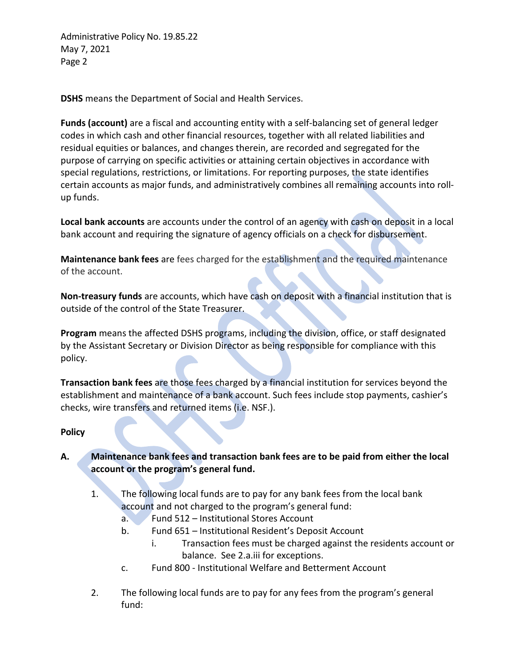Administrative Policy No. 19.85.22 May 7, 2021 Page 2

**DSHS** means the Department of Social and Health Services.

**Funds (account)** are a fiscal and accounting entity with a self-balancing set of general ledger codes in which cash and other financial resources, together with all related liabilities and residual equities or balances, and changes therein, are recorded and segregated for the purpose of carrying on specific activities or attaining certain objectives in accordance with special regulations, restrictions, or limitations. For reporting purposes, the state identifies certain accounts as major funds, and administratively combines all remaining accounts into rollup funds.

**Local bank accounts** are accounts under the control of an agency with cash on deposit in a local bank account and requiring the signature of agency officials on a check for disbursement.

**Maintenance bank fees** are fees charged for the establishment and the required maintenance of the account.

**Non-treasury funds** are accounts, which have cash on deposit with a financial institution that is outside of the control of the State Treasurer.

**Program** means the affected DSHS programs, including the division, office, or staff designated by the Assistant Secretary or Division Director as being responsible for compliance with this policy.

**Transaction bank fees** are those fees charged by a financial institution for services beyond the establishment and maintenance of a bank account. Such fees include stop payments, cashier's checks, wire transfers and returned items (i.e. NSF.).

## **Policy**

# **A. Maintenance bank fees and transaction bank fees are to be paid from either the local account or the program's general fund.**

- 1. The following local funds are to pay for any bank fees from the local bank account and not charged to the program's general fund:
	- a. Fund 512 Institutional Stores Account
	- b. Fund 651 Institutional Resident's Deposit Account
		- i. Transaction fees must be charged against the residents account or balance. See 2.a.iii for exceptions.
	- c. Fund 800 Institutional Welfare and Betterment Account
- 2. The following local funds are to pay for any fees from the program's general fund: